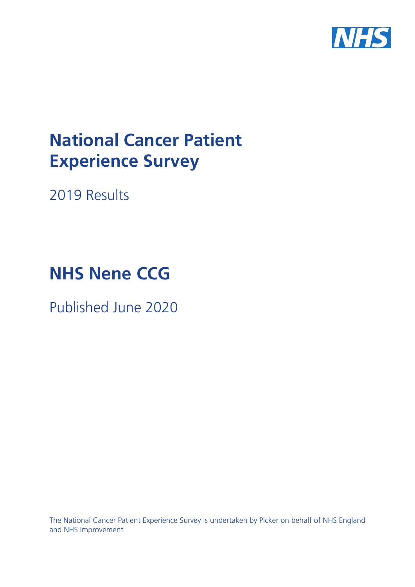

# **National Cancer Patient Experience Survey**

2019 Results

# **NHS Nene CCG**

Published June 2020

The National Cancer Patient Experience Survey is undertaken by Picker on behalf of NHS England and NHS Improvement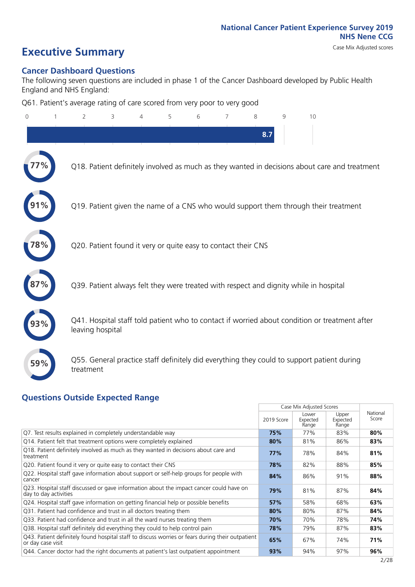# **Executive Summary** Case Mix Adjusted scores

#### **Cancer Dashboard Questions**

The following seven questions are included in phase 1 of the Cancer Dashboard developed by Public Health England and NHS England:

Q61. Patient's average rating of care scored from very poor to very good

| 0   | $\overline{2}$                                                | 3 | 4 | 5 | 6 | 7 | 8   | 9 | 10                                                                                            |  |
|-----|---------------------------------------------------------------|---|---|---|---|---|-----|---|-----------------------------------------------------------------------------------------------|--|
|     |                                                               |   |   |   |   |   | 8.7 |   |                                                                                               |  |
|     |                                                               |   |   |   |   |   |     |   | Q18. Patient definitely involved as much as they wanted in decisions about care and treatment |  |
|     |                                                               |   |   |   |   |   |     |   | Q19. Patient given the name of a CNS who would support them through their treatment           |  |
| 8%  | Q20. Patient found it very or quite easy to contact their CNS |   |   |   |   |   |     |   |                                                                                               |  |
|     |                                                               |   |   |   |   |   |     |   | Q39. Patient always felt they were treated with respect and dignity while in hospital         |  |
|     | leaving hospital                                              |   |   |   |   |   |     |   | Q41. Hospital staff told patient who to contact if worried about condition or treatment after |  |
| 59% | treatment                                                     |   |   |   |   |   |     |   | Q55. General practice staff definitely did everything they could to support patient during    |  |
|     | <b>Questions Outside Expected Range</b>                       |   |   |   |   |   |     |   |                                                                                               |  |

|                                                                                                                       |            | Case Mix Adjusted Scores   |                            |                   |
|-----------------------------------------------------------------------------------------------------------------------|------------|----------------------------|----------------------------|-------------------|
|                                                                                                                       | 2019 Score | Lower<br>Expected<br>Range | Upper<br>Expected<br>Range | National<br>Score |
| Q7. Test results explained in completely understandable way                                                           | 75%        | 77%                        | 83%                        | 80%               |
| Q14. Patient felt that treatment options were completely explained                                                    | 80%        | 81%                        | 86%                        | 83%               |
| Q18. Patient definitely involved as much as they wanted in decisions about care and<br>treatment                      | 77%        | 78%                        | 84%                        | 81%               |
| Q20. Patient found it very or quite easy to contact their CNS                                                         | 78%        | 82%                        | 88%                        | 85%               |
| Q22. Hospital staff gave information about support or self-help groups for people with<br>cancer                      | 84%        | 86%                        | 91%                        | 88%               |
| Q23. Hospital staff discussed or gave information about the impact cancer could have on<br>day to day activities      | 79%        | 81%                        | 87%                        | 84%               |
| Q24. Hospital staff gave information on getting financial help or possible benefits                                   | 57%        | 58%                        | 68%                        | 63%               |
| Q31. Patient had confidence and trust in all doctors treating them                                                    | 80%        | 80%                        | 87%                        | 84%               |
| Q33. Patient had confidence and trust in all the ward nurses treating them                                            | 70%        | 70%                        | 78%                        | 74%               |
| Q38. Hospital staff definitely did everything they could to help control pain                                         | 78%        | 79%                        | 87%                        | 83%               |
| Q43. Patient definitely found hospital staff to discuss worries or fears during their outpatient<br>or day case visit | 65%        | 67%                        | 74%                        | 71%               |
| Q44. Cancer doctor had the right documents at patient's last outpatient appointment                                   | 93%        | 94%                        | 97%                        | 96%               |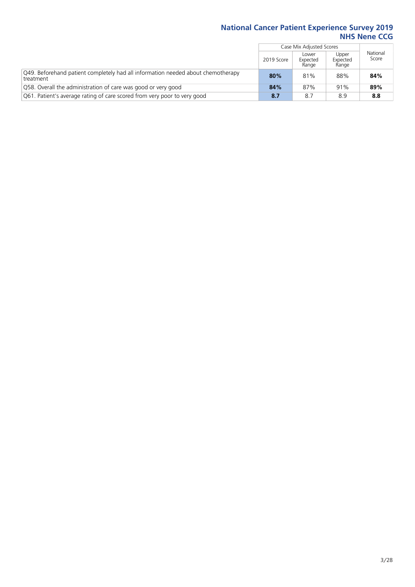|                                                                                               |            | Case Mix Adjusted Scores   |                            |                   |
|-----------------------------------------------------------------------------------------------|------------|----------------------------|----------------------------|-------------------|
|                                                                                               | 2019 Score | Lower<br>Expected<br>Range | Upper<br>Expected<br>Range | National<br>Score |
| Q49. Beforehand patient completely had all information needed about chemotherapy<br>treatment | 80%        | 81%                        | 88%                        | 84%               |
| Q58. Overall the administration of care was good or very good                                 | 84%        | 87%                        | 91%                        | 89%               |
| Q61. Patient's average rating of care scored from very poor to very good                      | 8.7        | 8.7                        | 8.9                        | 8.8               |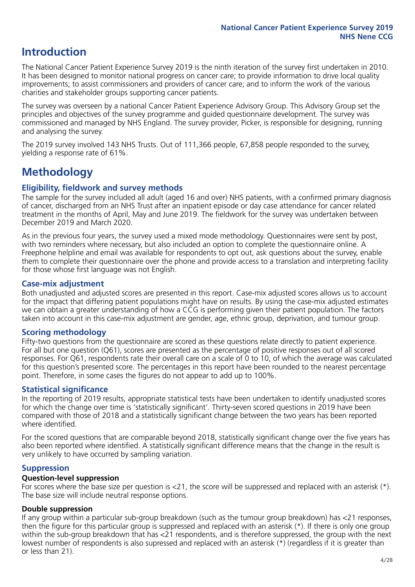# **Introduction**

The National Cancer Patient Experience Survey 2019 is the ninth iteration of the survey first undertaken in 2010. It has been designed to monitor national progress on cancer care; to provide information to drive local quality improvements; to assist commissioners and providers of cancer care; and to inform the work of the various charities and stakeholder groups supporting cancer patients.

The survey was overseen by a national Cancer Patient Experience Advisory Group. This Advisory Group set the principles and objectives of the survey programme and guided questionnaire development. The survey was commissioned and managed by NHS England. The survey provider, Picker, is responsible for designing, running and analysing the survey.

The 2019 survey involved 143 NHS Trusts. Out of 111,366 people, 67,858 people responded to the survey, yielding a response rate of 61%.

# **Methodology**

#### **Eligibility, eldwork and survey methods**

The sample for the survey included all adult (aged 16 and over) NHS patients, with a confirmed primary diagnosis of cancer, discharged from an NHS Trust after an inpatient episode or day case attendance for cancer related treatment in the months of April, May and June 2019. The fieldwork for the survey was undertaken between December 2019 and March 2020.

As in the previous four years, the survey used a mixed mode methodology. Questionnaires were sent by post, with two reminders where necessary, but also included an option to complete the questionnaire online. A Freephone helpline and email was available for respondents to opt out, ask questions about the survey, enable them to complete their questionnaire over the phone and provide access to a translation and interpreting facility for those whose first language was not English.

#### **Case-mix adjustment**

Both unadjusted and adjusted scores are presented in this report. Case-mix adjusted scores allows us to account for the impact that differing patient populations might have on results. By using the case-mix adjusted estimates we can obtain a greater understanding of how a CCG is performing given their patient population. The factors taken into account in this case-mix adjustment are gender, age, ethnic group, deprivation, and tumour group.

#### **Scoring methodology**

Fifty-two questions from the questionnaire are scored as these questions relate directly to patient experience. For all but one question (Q61), scores are presented as the percentage of positive responses out of all scored responses. For Q61, respondents rate their overall care on a scale of 0 to 10, of which the average was calculated for this question's presented score. The percentages in this report have been rounded to the nearest percentage point. Therefore, in some cases the figures do not appear to add up to 100%.

#### **Statistical significance**

In the reporting of 2019 results, appropriate statistical tests have been undertaken to identify unadjusted scores for which the change over time is 'statistically significant'. Thirty-seven scored questions in 2019 have been compared with those of 2018 and a statistically significant change between the two years has been reported where identified.

For the scored questions that are comparable beyond 2018, statistically significant change over the five years has also been reported where identified. A statistically significant difference means that the change in the result is very unlikely to have occurred by sampling variation.

#### **Suppression**

#### **Question-level suppression**

For scores where the base size per question is  $<$ 21, the score will be suppressed and replaced with an asterisk (\*). The base size will include neutral response options.

#### **Double suppression**

If any group within a particular sub-group breakdown (such as the tumour group breakdown) has <21 responses, then the figure for this particular group is suppressed and replaced with an asterisk (\*). If there is only one group within the sub-group breakdown that has <21 respondents, and is therefore suppressed, the group with the next lowest number of respondents is also supressed and replaced with an asterisk (\*) (regardless if it is greater than or less than 21).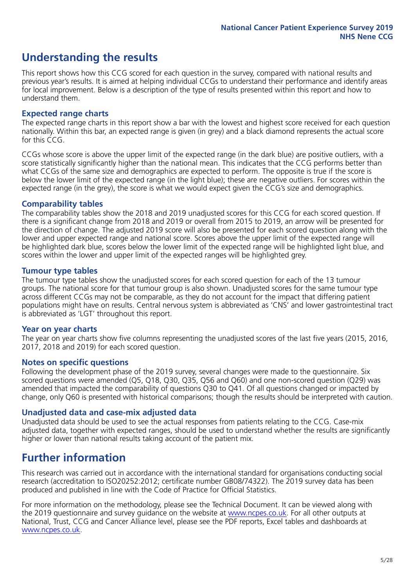# **Understanding the results**

This report shows how this CCG scored for each question in the survey, compared with national results and previous year's results. It is aimed at helping individual CCGs to understand their performance and identify areas for local improvement. Below is a description of the type of results presented within this report and how to understand them.

#### **Expected range charts**

The expected range charts in this report show a bar with the lowest and highest score received for each question nationally. Within this bar, an expected range is given (in grey) and a black diamond represents the actual score for this CCG.

CCGs whose score is above the upper limit of the expected range (in the dark blue) are positive outliers, with a score statistically significantly higher than the national mean. This indicates that the CCG performs better than what CCGs of the same size and demographics are expected to perform. The opposite is true if the score is below the lower limit of the expected range (in the light blue); these are negative outliers. For scores within the expected range (in the grey), the score is what we would expect given the CCG's size and demographics.

#### **Comparability tables**

The comparability tables show the 2018 and 2019 unadjusted scores for this CCG for each scored question. If there is a significant change from 2018 and 2019 or overall from 2015 to 2019, an arrow will be presented for the direction of change. The adjusted 2019 score will also be presented for each scored question along with the lower and upper expected range and national score. Scores above the upper limit of the expected range will be highlighted dark blue, scores below the lower limit of the expected range will be highlighted light blue, and scores within the lower and upper limit of the expected ranges will be highlighted grey.

#### **Tumour type tables**

The tumour type tables show the unadjusted scores for each scored question for each of the 13 tumour groups. The national score for that tumour group is also shown. Unadjusted scores for the same tumour type across different CCGs may not be comparable, as they do not account for the impact that differing patient populations might have on results. Central nervous system is abbreviated as 'CNS' and lower gastrointestinal tract is abbreviated as 'LGT' throughout this report.

#### **Year on year charts**

The year on year charts show five columns representing the unadjusted scores of the last five years (2015, 2016, 2017, 2018 and 2019) for each scored question.

#### **Notes on specific questions**

Following the development phase of the 2019 survey, several changes were made to the questionnaire. Six scored questions were amended (Q5, Q18, Q30, Q35, Q56 and Q60) and one non-scored question (Q29) was amended that impacted the comparability of questions Q30 to Q41. Of all questions changed or impacted by change, only Q60 is presented with historical comparisons; though the results should be interpreted with caution.

#### **Unadjusted data and case-mix adjusted data**

Unadjusted data should be used to see the actual responses from patients relating to the CCG. Case-mix adjusted data, together with expected ranges, should be used to understand whether the results are significantly higher or lower than national results taking account of the patient mix.

### **Further information**

This research was carried out in accordance with the international standard for organisations conducting social research (accreditation to ISO20252:2012; certificate number GB08/74322). The 2019 survey data has been produced and published in line with the Code of Practice for Official Statistics.

For more information on the methodology, please see the Technical Document. It can be viewed along with the 2019 questionnaire and survey quidance on the website at [www.ncpes.co.uk](https://www.ncpes.co.uk/supporting-documents). For all other outputs at National, Trust, CCG and Cancer Alliance level, please see the PDF reports, Excel tables and dashboards at [www.ncpes.co.uk.](https://www.ncpes.co.uk/current-results)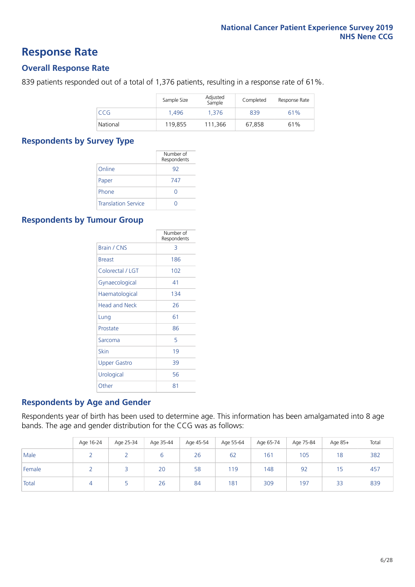### **Response Rate**

#### **Overall Response Rate**

839 patients responded out of a total of 1,376 patients, resulting in a response rate of 61%.

|          | Sample Size | Adjusted<br>Sample | Completed | Response Rate |
|----------|-------------|--------------------|-----------|---------------|
| CCG      | 1.496       | 1.376              | 839       | 61%           |
| National | 119,855     | 111.366            | 67.858    | 61%           |

#### **Respondents by Survey Type**

|                            | Number of<br>Respondents |
|----------------------------|--------------------------|
| Online                     | 92                       |
| Paper                      | 747                      |
| Phone                      | 0                        |
| <b>Translation Service</b> |                          |

#### **Respondents by Tumour Group**

|                      | Number of<br>Respondents |
|----------------------|--------------------------|
| <b>Brain / CNS</b>   | 3                        |
| <b>Breast</b>        | 186                      |
| Colorectal / LGT     | 102                      |
| Gynaecological       | 41                       |
| Haematological       | 134                      |
| <b>Head and Neck</b> | 26                       |
| Lung                 | 61                       |
| Prostate             | 86                       |
| Sarcoma              | 5                        |
| Skin                 | 19                       |
| Upper Gastro         | 39                       |
| Urological           | 56                       |
| Other                | 81                       |

#### **Respondents by Age and Gender**

Respondents year of birth has been used to determine age. This information has been amalgamated into 8 age bands. The age and gender distribution for the CCG was as follows:

|        | Age 16-24 | Age 25-34 | Age 35-44 | Age 45-54 | Age 55-64 | Age 65-74 | Age 75-84 | Age 85+ | Total |
|--------|-----------|-----------|-----------|-----------|-----------|-----------|-----------|---------|-------|
| Male   |           |           | b         | 26        | 62        | 161       | 105       | 18      | 382   |
| Female |           |           | 20        | 58        | 119       | 148       | 92        | 15      | 457   |
| Total  |           |           | 26        | 84        | 181       | 309       | 197       | 33      | 839   |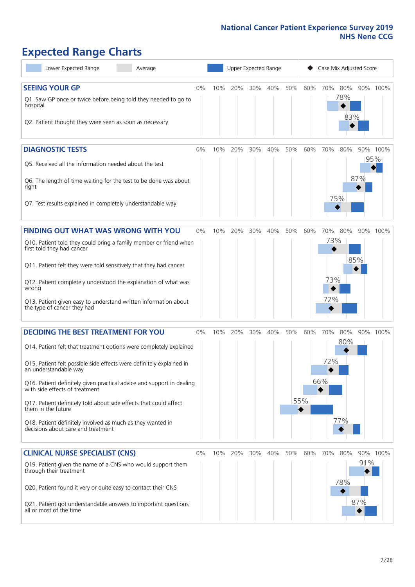# **Expected Range Charts**

| Lower Expected Range<br>Average                                                                                                                                                                                                                                                                                                                                                                                                                                                                                             |       |     | Upper Expected Range |     |     |     |            | Case Mix Adjusted Score  |                   |            |                 |
|-----------------------------------------------------------------------------------------------------------------------------------------------------------------------------------------------------------------------------------------------------------------------------------------------------------------------------------------------------------------------------------------------------------------------------------------------------------------------------------------------------------------------------|-------|-----|----------------------|-----|-----|-----|------------|--------------------------|-------------------|------------|-----------------|
| <b>SEEING YOUR GP</b><br>Q1. Saw GP once or twice before being told they needed to go to<br>hospital<br>Q2. Patient thought they were seen as soon as necessary                                                                                                                                                                                                                                                                                                                                                             | 0%    | 10% | 20%                  | 30% | 40% | 50% | 60%        | 70%                      | 80%<br>78%<br>83% |            | 90% 100%        |
| <b>DIAGNOSTIC TESTS</b><br>Q5. Received all the information needed about the test<br>Q6. The length of time waiting for the test to be done was about<br>right<br>Q7. Test results explained in completely understandable way                                                                                                                                                                                                                                                                                               | 0%    | 10% | 20%                  | 30% | 40% | 50% | 60%        | 70%                      | 80%<br>75%        | 87%        | 90% 100%<br>95% |
| <b>FINDING OUT WHAT WAS WRONG WITH YOU</b><br>Q10. Patient told they could bring a family member or friend when<br>first told they had cancer<br>Q11. Patient felt they were told sensitively that they had cancer<br>Q12. Patient completely understood the explanation of what was<br>wrong<br>Q13. Patient given easy to understand written information about<br>the type of cancer they had                                                                                                                             | 0%    | 10% | 20%                  | 30% | 40% | 50% | 60%        | 70%<br>73%<br>73%<br>72% | 80%               | 85%        | 90% 100%        |
| <b>DECIDING THE BEST TREATMENT FOR YOU</b><br>Q14. Patient felt that treatment options were completely explained<br>Q15. Patient felt possible side effects were definitely explained in<br>an understandable way<br>Q16. Patient definitely given practical advice and support in dealing<br>with side effects of treatment<br>Q17. Patient definitely told about side effects that could affect<br>them in the future<br>Q18. Patient definitely involved as much as they wanted in<br>decisions about care and treatment | 0%    | 10% | 20%                  | 30% | 40% | 50% | 60%<br>55% | 70%<br>72%<br>66%        | 80%<br>80%<br>77% |            | 90% 100%        |
| <b>CLINICAL NURSE SPECIALIST (CNS)</b><br>Q19. Patient given the name of a CNS who would support them<br>through their treatment<br>Q20. Patient found it very or quite easy to contact their CNS<br>Q21. Patient got understandable answers to important questions<br>all or most of the time                                                                                                                                                                                                                              | $0\%$ | 10% | 20%                  | 30% | 40% | 50% | 60%        | 70%                      | 80%<br>78%        | 91%<br>87% | 90% 100%        |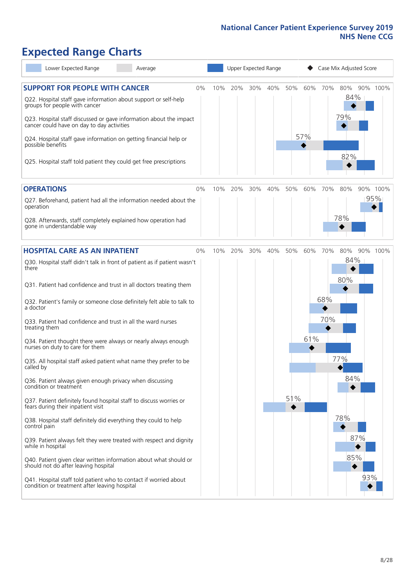# **Expected Range Charts**

| Lower Expected Range<br>Average                                                                                                           |    | Upper Expected Range |     |     |     |     |         | Case Mix Adjusted Score |            |          |  |  |
|-------------------------------------------------------------------------------------------------------------------------------------------|----|----------------------|-----|-----|-----|-----|---------|-------------------------|------------|----------|--|--|
| <b>SUPPORT FOR PEOPLE WITH CANCER</b><br>Q22. Hospital staff gave information about support or self-help<br>groups for people with cancer | 0% | 10%                  | 20% | 30% | 40% | 50% | 60% 70% |                         | 80%<br>84% | 90% 100% |  |  |
| Q23. Hospital staff discussed or gave information about the impact<br>cancer could have on day to day activities                          |    |                      |     |     |     |     |         |                         | 79%        |          |  |  |
| Q24. Hospital staff gave information on getting financial help or<br>possible benefits                                                    |    |                      |     |     |     |     | 57%     |                         |            |          |  |  |
| Q25. Hospital staff told patient they could get free prescriptions                                                                        |    |                      |     |     |     |     |         |                         | 82%        |          |  |  |
| <b>OPERATIONS</b>                                                                                                                         | 0% | 10%                  | 20% | 30% | 40% | 50% | 60%     | 70%                     | 80%        | 90% 100% |  |  |
| Q27. Beforehand, patient had all the information needed about the<br>operation                                                            |    |                      |     |     |     |     |         |                         |            | 95%      |  |  |
| Q28. Afterwards, staff completely explained how operation had<br>gone in understandable way                                               |    |                      |     |     |     |     |         |                         | 78%        |          |  |  |
| <b>HOSPITAL CARE AS AN INPATIENT</b>                                                                                                      | 0% | 10%                  | 20% | 30% | 40% | 50% | 60%     | 70%                     | 80%        | 90% 100% |  |  |
| Q30. Hospital staff didn't talk in front of patient as if patient wasn't<br>there                                                         |    |                      |     |     |     |     |         |                         | 84%        |          |  |  |
| Q31. Patient had confidence and trust in all doctors treating them                                                                        |    |                      |     |     |     |     |         |                         | 80%        |          |  |  |
| Q32. Patient's family or someone close definitely felt able to talk to<br>a doctor                                                        |    |                      |     |     |     |     |         | 68%                     |            |          |  |  |
| Q33. Patient had confidence and trust in all the ward nurses<br>treating them                                                             |    |                      |     |     |     |     |         | 70%                     |            |          |  |  |
| Q34. Patient thought there were always or nearly always enough<br>nurses on duty to care for them                                         |    |                      |     |     |     |     | 61%     |                         |            |          |  |  |
| Q35. All hospital staff asked patient what name they prefer to be<br>called by                                                            |    |                      |     |     |     |     |         |                         | 77%        |          |  |  |
| Q36. Patient always given enough privacy when discussing<br>condition or treatment                                                        |    |                      |     |     |     |     |         |                         | 84%        |          |  |  |
| Q37. Patient definitely found hospital staff to discuss worries or<br>fears during their inpatient visit                                  |    |                      |     |     |     | 51% |         |                         |            |          |  |  |
| Q38. Hospital staff definitely did everything they could to help<br>control pain                                                          |    |                      |     |     |     |     |         |                         | 78%        |          |  |  |
| Q39. Patient always felt they were treated with respect and dignity<br>while in hospital                                                  |    |                      |     |     |     |     |         |                         | 87%        |          |  |  |
| Q40. Patient given clear written information about what should or<br>should not do after leaving hospital                                 |    |                      |     |     |     |     |         |                         | 85%        |          |  |  |
| Q41. Hospital staff told patient who to contact if worried about<br>condition or treatment after leaving hospital                         |    |                      |     |     |     |     |         |                         | 93%        |          |  |  |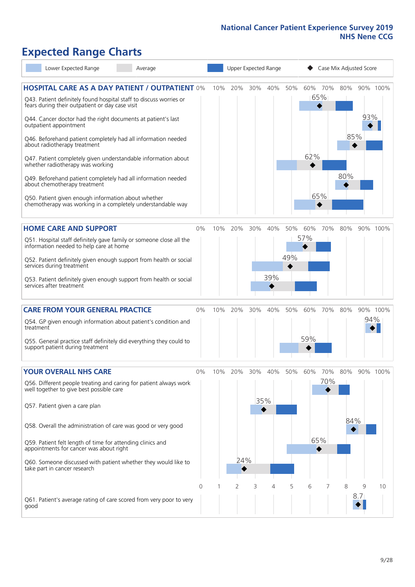# **Expected Range Charts**

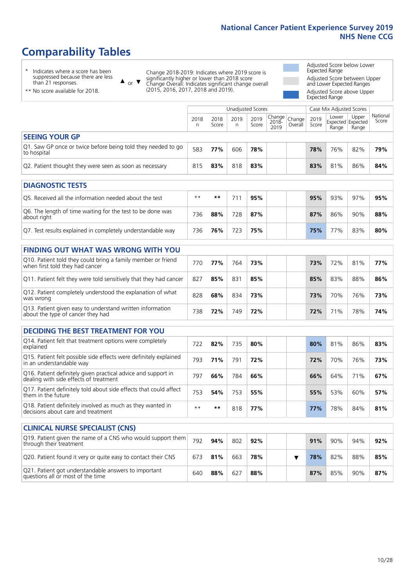# **Comparability Tables**

\* Indicates where a score has been suppressed because there are less than 21 responses.

\*\* No score available for 2018.

 $\triangle$  or  $\nabla$ 

Change 2018-2019: Indicates where 2019 score is significantly higher or lower than 2018 score Change Overall: Indicates significant change overall (2015, 2016, 2017, 2018 and 2019).

Adjusted Score below Lower Expected Range Adjusted Score between Upper and Lower Expected Ranges Adjusted Score above Upper

Expected Range

|                                                                              |           |               | <b>Unadjusted Scores</b> |               |                           |                   |               | Case Mix Adjusted Scores            |                |                   |
|------------------------------------------------------------------------------|-----------|---------------|--------------------------|---------------|---------------------------|-------------------|---------------|-------------------------------------|----------------|-------------------|
|                                                                              | 2018<br>n | 2018<br>Score | 2019<br>n.               | 2019<br>Score | Change I<br>2018-<br>2019 | Change<br>Overall | 2019<br>Score | Lower<br>Expected Expected<br>Range | Upper<br>Range | National<br>Score |
| <b>SEEING YOUR GP</b>                                                        |           |               |                          |               |                           |                   |               |                                     |                |                   |
| Q1. Saw GP once or twice before being told they needed to go<br>to hospital  | 583       | 77%           | 606                      | 78%           |                           |                   | 78%           | 76%                                 | 82%            | 79%               |
| Q2. Patient thought they were seen as soon as necessary                      | 815       | 83%           | 818                      | 83%           |                           |                   | 83%           | 81%                                 | 86%            | 84%               |
|                                                                              |           |               |                          |               |                           |                   |               |                                     |                |                   |
| <b>DIAGNOSTIC TESTS</b>                                                      |           |               |                          |               |                           |                   |               |                                     |                |                   |
| O5. Received all the information needed about the test                       | $***$     | $* *$         | 711                      | 95%           |                           |                   | 95%           | 93%                                 | 97%            | 95%               |
| Q6. The length of time waiting for the test to be done was<br>$-$ hout riobt | 736       | 88%           | 728                      | 87%           |                           |                   | 87%           | 86%                                 | 90%            | 88%               |

| Q6. The length of time waiting for the test to be done was<br>about right | 736 | 88% | 728 | 87% |  | 87% | 86% | 90% | 88% |
|---------------------------------------------------------------------------|-----|-----|-----|-----|--|-----|-----|-----|-----|
| Q7. Test results explained in completely understandable way               | 736 | 76% | 723 | 75% |  | 75% | 77% | 83% | 80% |

| <b>FINDING OUT WHAT WAS WRONG WITH YOU</b>                                                      |     |     |     |     |     |     |     |     |
|-------------------------------------------------------------------------------------------------|-----|-----|-----|-----|-----|-----|-----|-----|
| Q10. Patient told they could bring a family member or friend<br>when first told they had cancer | 770 | 77% | 764 | 73% | 73% | 72% | 81% | 77% |
| Q11. Patient felt they were told sensitively that they had cancer                               | 827 | 85% | 831 | 85% | 85% | 83% | 88% | 86% |
| Q12. Patient completely understood the explanation of what<br>was wrong                         | 828 | 68% | 834 | 73% | 73% | 70% | 76% | 73% |
| Q13. Patient given easy to understand written information<br>about the type of cancer they had  | 738 | 72% | 749 | 72% | 72% | 71% | 78% | 74% |

| <b>DECIDING THE BEST TREATMENT FOR YOU</b>                                                              |      |     |     |     |     |     |     |     |
|---------------------------------------------------------------------------------------------------------|------|-----|-----|-----|-----|-----|-----|-----|
| Q14. Patient felt that treatment options were completely<br>explained                                   | 722  | 82% | 735 | 80% | 80% | 81% | 86% | 83% |
| Q15. Patient felt possible side effects were definitely explained<br>in an understandable way           | 793  | 71% | 791 | 72% | 72% | 70% | 76% | 73% |
| Q16. Patient definitely given practical advice and support in<br>dealing with side effects of treatment | 797  | 66% | 784 | 66% | 66% | 64% | 71% | 67% |
| Q17. Patient definitely told about side effects that could affect<br>them in the future                 | 753  | 54% | 753 | 55% | 55% | 53% | 60% | 57% |
| Q18. Patient definitely involved as much as they wanted in<br>decisions about care and treatment        | $**$ | **  | 818 | 77% | 77% | 78% | 84% | 81% |

| <b>CLINICAL NURSE SPECIALIST (CNS)</b>                                                    |     |     |     |     |  |     |     |     |     |
|-------------------------------------------------------------------------------------------|-----|-----|-----|-----|--|-----|-----|-----|-----|
| Q19. Patient given the name of a CNS who would support them<br>through their treatment    | 792 | 94% | 802 | 92% |  | 91% | 90% | 94% | 92% |
| Q20. Patient found it very or quite easy to contact their CNS                             | 673 | 81% | 663 | 78% |  | 78% | 82% | 88% | 85% |
| Q21. Patient got understandable answers to important<br>questions all or most of the time | 640 | 88% | 627 | 88% |  | 87% | 85% | 90% | 87% |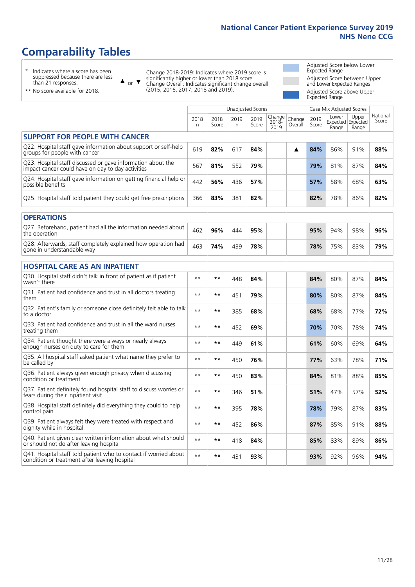# **Comparability Tables**

\* Indicates where a score has been suppressed because there are less than 21 responses.

\*\* No score available for 2018.

 $\triangle$  or  $\nabla$ 

Change 2018-2019: Indicates where 2019 score is significantly higher or lower than 2018 score Change Overall: Indicates significant change overall (2015, 2016, 2017, 2018 and 2019).

Adjusted Score below Lower Expected Range Adjusted Score between Upper and Lower Expected Ranges Adjusted Score above Upper Expected Range

|                                                                                                                   |              |               | Unadjusted Scores |               |                         |                   |               | Case Mix Adjusted Scores            |                |                   |
|-------------------------------------------------------------------------------------------------------------------|--------------|---------------|-------------------|---------------|-------------------------|-------------------|---------------|-------------------------------------|----------------|-------------------|
|                                                                                                                   | 2018<br>n    | 2018<br>Score | 2019<br>n         | 2019<br>Score | Change<br>2018-<br>2019 | Change<br>Overall | 2019<br>Score | Lower<br>Expected Expected<br>Range | Upper<br>Range | National<br>Score |
| <b>SUPPORT FOR PEOPLE WITH CANCER</b>                                                                             |              |               |                   |               |                         |                   |               |                                     |                |                   |
| Q22. Hospital staff gave information about support or self-help<br>groups for people with cancer                  | 619          | 82%           | 617               | 84%           |                         | ▲                 | 84%           | 86%                                 | 91%            | 88%               |
| Q23. Hospital staff discussed or gave information about the<br>impact cancer could have on day to day activities  | 567          | 81%           | 552               | 79%           |                         |                   | 79%           | 81%                                 | 87%            | 84%               |
| Q24. Hospital staff gave information on getting financial help or<br>possible benefits                            | 442          | 56%           | 436               | 57%           |                         |                   | 57%           | 58%                                 | 68%            | 63%               |
| Q25. Hospital staff told patient they could get free prescriptions                                                | 366          | 83%           | 381               | 82%           |                         |                   | 82%           | 78%                                 | 86%            | 82%               |
| <b>OPERATIONS</b>                                                                                                 |              |               |                   |               |                         |                   |               |                                     |                |                   |
| Q27. Beforehand, patient had all the information needed about<br>the operation                                    | 462          | 96%           | 444               | 95%           |                         |                   | 95%           | 94%                                 | 98%            | 96%               |
| Q28. Afterwards, staff completely explained how operation had<br>gone in understandable way                       | 463          | 74%           | 439               | 78%           |                         |                   | 78%           | 75%                                 | 83%            | 79%               |
| <b>HOSPITAL CARE AS AN INPATIENT</b>                                                                              |              |               |                   |               |                         |                   |               |                                     |                |                   |
| Q30. Hospital staff didn't talk in front of patient as if patient<br>wasn't there                                 | $* *$        | **            | 448               | 84%           |                         |                   | 84%           | 80%                                 | 87%            | 84%               |
| Q31. Patient had confidence and trust in all doctors treating<br>them                                             | $* *$        | $***$         | 451               | 79%           |                         |                   | 80%           | 80%                                 | 87%            | 84%               |
| Q32. Patient's family or someone close definitely felt able to talk<br>to a doctor                                | $* *$        | $***$         | 385               | 68%           |                         |                   | 68%           | 68%                                 | 77%            | 72%               |
| Q33. Patient had confidence and trust in all the ward nurses<br>treating them                                     | $* *$        | **            | 452               | 69%           |                         |                   | 70%           | 70%                                 | 78%            | 74%               |
| Q34. Patient thought there were always or nearly always<br>enough nurses on duty to care for them                 | $**$         | $***$         | 449               | 61%           |                         |                   | 61%           | 60%                                 | 69%            | 64%               |
| Q35. All hospital staff asked patient what name they prefer to<br>be called by                                    | $* *$        | **            | 450               | 76%           |                         |                   | 77%           | 63%                                 | 78%            | 71%               |
| Q36. Patient always given enough privacy when discussing<br>condition or treatment                                | $* *$        | $***$         | 450               | 83%           |                         |                   | 84%           | 81%                                 | 88%            | 85%               |
| Q37. Patient definitely found hospital staff to discuss worries or<br>fears during their inpatient visit          | $* *$        | **            | 346               | 51%           |                         |                   | 51%           | 47%                                 | 57%            | 52%               |
| Q38. Hospital staff definitely did everything they could to help<br>control pain                                  | $* *$        | $***$         | 395               | 78%           |                         |                   | 78%           | 79%                                 | 87%            | 83%               |
| Q39. Patient always felt they were treated with respect and<br>dignity while in hospital                          | $* *$        | **            | 452               | 86%           |                         |                   | 87%           | 85%                                 | 91%            | 88%               |
| Q40. Patient given clear written information about what should<br>or should not do after leaving hospital         | $\star\star$ | $***$         | 418               | 84%           |                         |                   | 85%           | 83%                                 | 89%            | 86%               |
| Q41. Hospital staff told patient who to contact if worried about<br>condition or treatment after leaving hospital | $**$         | **            | 431               | 93%           |                         |                   | 93%           | 92%                                 | 96%            | 94%               |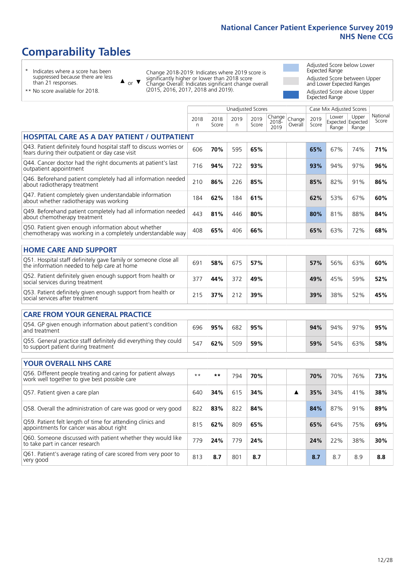Unadjusted Scores **Case Mix Adjusted Scores** 

# **Comparability Tables**

\* Indicates where a score has been suppressed because there are less than 21 responses.

or  $\blacktriangledown$  $\blacktriangle$ 

Change 2018-2019: Indicates where 2019 score is significantly higher or lower than 2018 score Change Overall: Indicates significant change overall (2015, 2016, 2017, 2018 and 2019).

Adjusted Score below Lower Expected Range Adjusted Score between Upper and Lower Expected Ranges Adjusted Score above Upper Expected Range

| ** No score available for 2018. |
|---------------------------------|
|---------------------------------|

|                                                                                                                       | 2018<br>n | 2018<br>Score | 2019<br>n | 2019<br>Score | Change<br>2018-<br>2019 | Change<br>Overall | 2019<br>Score | Lower<br>Range | Upper<br>Expected Expected<br>Range | National<br>Score |
|-----------------------------------------------------------------------------------------------------------------------|-----------|---------------|-----------|---------------|-------------------------|-------------------|---------------|----------------|-------------------------------------|-------------------|
| <b>HOSPITAL CARE AS A DAY PATIENT / OUTPATIENT</b>                                                                    |           |               |           |               |                         |                   |               |                |                                     |                   |
| Q43. Patient definitely found hospital staff to discuss worries or<br>fears during their outpatient or day case visit | 606       | 70%           | 595       | 65%           |                         |                   | 65%           | 67%            | 74%                                 | 71%               |
| Q44. Cancer doctor had the right documents at patient's last<br>outpatient appointment                                | 716       | 94%           | 722       | 93%           |                         |                   | 93%           | 94%            | 97%                                 | 96%               |
| Q46. Beforehand patient completely had all information needed<br>about radiotherapy treatment                         | 210       | 86%           | 226       | 85%           |                         |                   | 85%           | 82%            | 91%                                 | 86%               |
| Q47. Patient completely given understandable information<br>about whether radiotherapy was working                    | 184       | 62%           | 184       | 61%           |                         |                   | 62%           | 53%            | 67%                                 | 60%               |
| Q49. Beforehand patient completely had all information needed<br>about chemotherapy treatment                         | 443       | 81%           | 446       | 80%           |                         |                   | 80%           | 81%            | 88%                                 | 84%               |
| Q50. Patient given enough information about whether<br>chemotherapy was working in a completely understandable way    | 408       | 65%           | 406       | 66%           |                         |                   | 65%           | 63%            | 72%                                 | 68%               |
| <b>HOME CARE AND SUPPORT</b>                                                                                          |           |               |           |               |                         |                   |               |                |                                     |                   |
| Q51. Hospital staff definitely gave family or someone close all<br>the information needed to help care at home        | 691       | 58%           | 675       | 57%           |                         |                   | 57%           | 56%            | 63%                                 | 60%               |
| Q52. Patient definitely given enough support from health or<br>social services during treatment                       | 377       | 44%           | 372       | 49%           |                         |                   | 49%           | 45%            | 59%                                 | 52%               |
| Q53. Patient definitely given enough support from health or<br>social services after treatment                        | 215       | 37%           | 212       | 39%           |                         |                   | 39%           | 38%            | 52%                                 | 45%               |
| <b>CARE FROM YOUR GENERAL PRACTICE</b>                                                                                |           |               |           |               |                         |                   |               |                |                                     |                   |
| Q54. GP given enough information about patient's condition<br>and treatment                                           | 696       | 95%           | 682       | 95%           |                         |                   | 94%           | 94%            | 97%                                 | 95%               |
| Q55. General practice staff definitely did everything they could<br>to support patient during treatment               | 547       | 62%           | 509       | 59%           |                         |                   | 59%           | 54%            | 63%                                 | 58%               |
| <b>YOUR OVERALL NHS CARE</b>                                                                                          |           |               |           |               |                         |                   |               |                |                                     |                   |
| Q56. Different people treating and caring for patient always<br>work well together to give best possible care         | $**$      | **            | 794       | 70%           |                         |                   | 70%           | 70%            | 76%                                 | 73%               |
| Q57. Patient given a care plan                                                                                        | 640       | 34%           | 615       | 34%           |                         | ▲                 | 35%           | 34%            | 41%                                 | 38%               |
| Q58. Overall the administration of care was good or very good                                                         | 822       | 83%           | 822       | 84%           |                         |                   | 84%           | 87%            | 91%                                 | 89%               |
| Q59. Patient felt length of time for attending clinics and<br>appointments for cancer was about right                 | 815       | 62%           | 809       | 65%           |                         |                   | 65%           | 64%            | 75%                                 | 69%               |
| Q60. Someone discussed with patient whether they would like<br>to take part in cancer research                        | 779       | 24%           | 779       | 24%           |                         |                   | 24%           | 22%            | 38%                                 | 30%               |
| Q61. Patient's average rating of care scored from very poor to<br>very good                                           | 813       | 8.7           | 801       | 8.7           |                         |                   | 8.7           | 8.7            | 8.9                                 | 8.8               |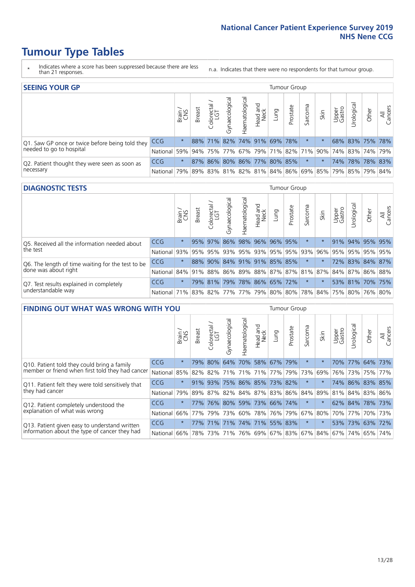- \* Indicates where a score has been suppressed because there are less than 21 responses.
- n.a. Indicates that there were no respondents for that tumour group.

| <b>SEEING YOUR GP</b>                           |            |         |               |            |                   |                |                                     |      | Tumour Group |         |      |                 |                                                     |       |                |
|-------------------------------------------------|------------|---------|---------------|------------|-------------------|----------------|-------------------------------------|------|--------------|---------|------|-----------------|-----------------------------------------------------|-------|----------------|
|                                                 |            | Brain   | <b>Breast</b> | Colorectal | ত<br>Gynaecologic | Haematological | Head and<br>Neck                    | pung | Prostate     | Sarcoma | Skin | Upper<br>Gastro | $\sigma$<br>Jrologica                               | Other | All<br>Cancers |
| Q1. Saw GP once or twice before being told they | CCG        | $\star$ |               |            |                   |                | 88% 71% 82% 74% 91% 69% 78%         |      |              |         |      |                 | 68% 83% 75% 78%                                     |       |                |
| needed to go to hospital                        | National   | 59%     |               |            |                   |                | 94% 75% 77% 67% 79% 71% 82% 71% 90% |      |              |         |      |                 | 74%   83%   74%   79%                               |       |                |
| Q2. Patient thought they were seen as soon as   | <b>CCG</b> | $\star$ |               |            |                   |                | 87% 86% 80% 86% 77% 80% 85%         |      |              | $\star$ |      |                 | 74% 78% 78% 83%                                     |       |                |
| necessary                                       | National   | 79%     |               |            |                   |                |                                     |      |              |         |      |                 | 89% 83% 81% 82% 81% 84% 86% 69% 85% 79% 85% 79% 84% |       |                |

#### **DIAGNOSTIC TESTS** Tumour Group

|                                                           |                                                                  | Brain   | <b>Breast</b>                                           | olorectal.<br>LGT | ᄛ<br>Gynaecologic | Haematological      | Head and<br>Neck | Lung | Prostate | Sarcoma | Skin    | Upper<br>Gastro | σ<br>rologica | Other           | All<br>Cancers  |
|-----------------------------------------------------------|------------------------------------------------------------------|---------|---------------------------------------------------------|-------------------|-------------------|---------------------|------------------|------|----------|---------|---------|-----------------|---------------|-----------------|-----------------|
| Q5. Received all the information needed about<br>the test | <b>CCG</b>                                                       | $\star$ |                                                         | 95% 97% 86%       |                   |                     | 98% 96% 96% 95%  |      |          | $\ast$  |         |                 |               | 91% 94% 95% 95% |                 |
|                                                           | National                                                         |         | 93% 95% 95% 93% 95% 93% 95% 95% 93% 93% 96% 95% 95% 95% |                   |                   |                     |                  |      |          |         |         |                 |               |                 | 95%             |
| Q6. The length of time waiting for the test to be         | <b>CCG</b>                                                       | $\star$ | 88%                                                     | 90%               |                   | 84% 91% 91% 85% 85% |                  |      |          | $\star$ |         |                 |               |                 | 72% 83% 84% 87% |
| done was about right                                      | National 84% 91% 88% 86% 89% 88% 87% 87% 81% 87% 84% 87% 86% 88% |         |                                                         |                   |                   |                     |                  |      |          |         |         |                 |               |                 |                 |
| Q7. Test results explained in completely                  | <b>CCG</b>                                                       | $\star$ |                                                         | 79% 81%           | 79%               | 78% 86% 65% 72%     |                  |      |          | $\ast$  | $\star$ |                 |               |                 | 53% 81% 70% 75% |
| understandable way                                        | National 71% 83% 82% 77% 77% 79% 80% 80% 78% 84% 75% 80% 76% 80% |         |                                                         |                   |                   |                     |                  |      |          |         |         |                 |               |                 |                 |

| <b>FINDING OUT WHAT WAS WRONG WITH YOU</b>        |            |         |                                 |                       |                |                   |                  |                             | <b>Tumour Group</b> |         |         |                 |            |                 |                |
|---------------------------------------------------|------------|---------|---------------------------------|-----------------------|----------------|-------------------|------------------|-----------------------------|---------------------|---------|---------|-----------------|------------|-----------------|----------------|
|                                                   |            | Brain   | <b>Breast</b>                   | olorectal<br>LGT<br>Ō | Gynaecological | aematologica<br>エ | Head and<br>Neck | Lung                        | Prostate            | Sarcoma | Skin    | Upper<br>Gastro | Urological | Other           | All<br>Cancers |
| Q10. Patient told they could bring a family       | CCG        | $\star$ | 79%                             | 80%                   | 64%            | 70%               |                  | 58% 67%                     | 79%                 | $\ast$  | $\star$ | 70%             | 77%        |                 | 64% 73%        |
| member or friend when first told they had cancer  | National   | 85%     | 82%                             | 82%                   | 71%            | 71%               | 71%              | 77%                         | 79%                 | 73%     | 69%     | 76%             | 73%        | 75%             | 77%            |
| Q11. Patient felt they were told sensitively that | CCG        | $\star$ | 91%                             | 93%                   | 75%            |                   |                  | 86% 85% 73% 82%             |                     | $\ast$  | $\star$ | 74%             |            | 86% 83% 85%     |                |
| they had cancer                                   | National   | 79%     | 89% 87% 82% 84% 87% 83% 86% 84% |                       |                |                   |                  |                             |                     |         | 89%     |                 |            | 81% 84% 83% 86% |                |
| Q12. Patient completely understood the            | <b>CCG</b> | $\star$ | 77%                             | 76%                   | 80%            |                   |                  | 59% 73% 66% 74%             |                     | $\ast$  |         |                 |            | 62% 84% 78% 73% |                |
| explanation of what was wrong                     | National   |         | 66% 77%                         | 79%                   | 73%            |                   |                  | 60% 78% 76% 79%             |                     | 67%     | 80%     | 70%             | 77%        |                 | 70% 73%        |
| Q13. Patient given easy to understand written     | CCG        | $\star$ |                                 |                       | 77% 71% 71%    | 74% 71% 55% 83%   |                  |                             |                     | $\star$ | $\star$ | 53%             | 173%       | 63%             | 72%            |
| information about the type of cancer they had     | National   | $66\%$  | 78%                             | 73%                   | 71%            |                   |                  | 76% 69% 67% 83% 67% 84% 67% |                     |         |         |                 | 74%        | 65%             | 74%            |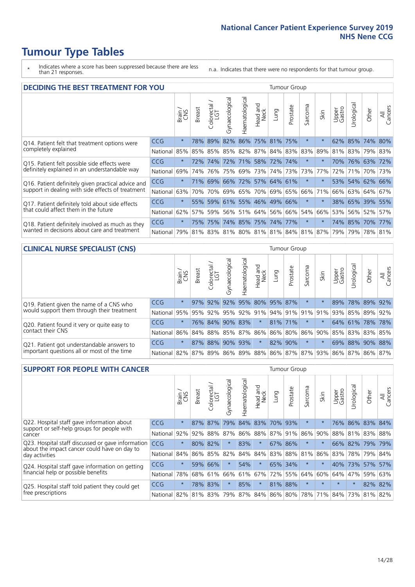- \* Indicates where a score has been suppressed because there are less than 21 responses.
- n.a. Indicates that there were no respondents for that tumour group.

| <b>DECIDING THE BEST TREATMENT FOR YOU</b>         |            |         |               |                             |                |                |                        |                             | <b>Tumour Group</b> |                                         |         |                 |                 |             |                |
|----------------------------------------------------|------------|---------|---------------|-----------------------------|----------------|----------------|------------------------|-----------------------------|---------------------|-----------------------------------------|---------|-----------------|-----------------|-------------|----------------|
|                                                    |            | Brain   | <b>Breast</b> | blorectal.<br>LGT<br>$\cup$ | Gynaecological | Haematological | ad and<br>Neck<br>Head | Lung                        | Prostate            | Sarcoma                                 | Skin    | Upper<br>Gastro | Jrological      | Other       | All<br>Cancers |
| Q14. Patient felt that treatment options were      | <b>CCG</b> | $\star$ | 78%           | 89%                         | 82%            |                | 86% 75% 81%            |                             | 75%                 | $\star$                                 |         |                 | 62% 85% 74%     |             | 80%            |
| completely explained                               | National   | 85%     | 85%           |                             |                |                |                        | 85% 85% 82% 87% 84% 83% 83% |                     |                                         | 89%     |                 | 81% 83% 79% 83% |             |                |
| Q15. Patient felt possible side effects were       | <b>CCG</b> | $\star$ | 72%           | 74%                         |                |                |                        | 72% 71% 58% 72% 74%         |                     | $^\star$                                |         |                 | 70% 76% 63% 72% |             |                |
| definitely explained in an understandable way      | National   | 69%     | 74%           | 76%                         | 75%            | 69%            | 73%                    |                             | 74% 73%             | 73%                                     | 77%     | 72%             | 71%             | 70% 73%     |                |
| Q16. Patient definitely given practical advice and | <b>CCG</b> | $\star$ |               |                             |                |                |                        | 71% 69% 66% 72% 57% 64% 61% |                     | $\star$                                 |         |                 | 53% 54% 62% 66% |             |                |
| support in dealing with side effects of treatment  | National   | 63%     | 70%           | 70%                         |                |                | 69% 65% 70%            | 69% 65%                     |                     | 66%                                     | 71%     | 66%             |                 | 63% 64% 67% |                |
| Q17. Patient definitely told about side effects    | CCG        | $\star$ | 55%           |                             |                |                |                        | 59% 61% 55% 46% 49% 66%     |                     | $\star$                                 |         | 38%             |                 | 65% 39% 55% |                |
| that could affect them in the future               | National   | 62%     | 57%           | 59%                         |                |                |                        | 56% 51% 64% 56% 66%         |                     | 54%                                     | 66%     |                 | 53% 56% 52%     |             | 57%            |
| Q18. Patient definitely involved as much as they   | <b>CCG</b> | $\star$ |               | 75% 75%                     |                |                |                        | 74% 85% 75% 74% 77%         |                     | $\star$                                 | $\star$ |                 | 74% 85% 70% 77% |             |                |
| wanted in decisions about care and treatment       | National   |         |               |                             |                |                |                        |                             |                     | 79% 81% 83% 81% 80% 81% 81% 84% 81% 87% |         | 79%             |                 | 79% 78% 81% |                |

#### **CLINICAL NURSE SPECIALIST (CNS)** Tumour Group

|                                             |            | Brain   | <b>Breast</b>   | olorectal<br>LGT<br>$\cup$ | aecologica<br>ĞŘ | $\overline{\sigma}$<br>O<br>aematologi | Head and<br>Neck | Lung    | Prostate | Sarcoma  | Skin                                        | Upper<br>Gastro | $\sigma$<br>rologica | Other                                               | All<br>ancers<br>$\cup$ |
|---------------------------------------------|------------|---------|-----------------|----------------------------|------------------|----------------------------------------|------------------|---------|----------|----------|---------------------------------------------|-----------------|----------------------|-----------------------------------------------------|-------------------------|
| Q19. Patient given the name of a CNS who    | CCG        | $\star$ |                 | 97% 92%                    | 92%              |                                        | 95% 80% 95% 87%  |         |          | $^\star$ |                                             | 89%             |                      | 78% 89% 92%                                         |                         |
| would support them through their treatment  | National   |         |                 |                            |                  |                                        |                  |         |          |          |                                             |                 |                      | 95% 95% 92% 95% 92% 91% 94% 91% 91% 91% 93% 85% 89% | 92%                     |
| Q20. Patient found it very or quite easy to | <b>CCG</b> | $\star$ |                 |                            | 76% 84% 90% 83%  |                                        | $\star$          | 81% 71% |          | $\star$  | $\star$                                     |                 |                      | 64% 61% 78% 78%                                     |                         |
| contact their CNS                           | National   |         |                 |                            |                  |                                        |                  |         |          |          | 86% 84% 88% 85% 87% 86% 86% 80% 86% 90% 85% |                 |                      | 83% 83%                                             | 85%                     |
| Q21. Patient got understandable answers to  | CCG        | $\star$ |                 | 87% 88%                    | $90\%$           | 93%                                    | $\star$          | 82% 90% |          | $\ast$   |                                             | 69%             |                      | 88% 90%                                             | 88%                     |
| important questions all or most of the time | National   |         | 82% 87% 89% 86% |                            |                  |                                        |                  |         |          |          |                                             |                 |                      | 89%   88%   86%   87%   87%   93%   86%   87%   86% | 87%                     |

| <b>SUPPORT FOR PEOPLE WITH CANCER</b>                                                               |                          |         |               |                             |                |                 |                         |                 | <b>Tumour Group</b> |                      |                         |                 |             |             |                |
|-----------------------------------------------------------------------------------------------------|--------------------------|---------|---------------|-----------------------------|----------------|-----------------|-------------------------|-----------------|---------------------|----------------------|-------------------------|-----------------|-------------|-------------|----------------|
|                                                                                                     |                          | Brain   | <b>Breast</b> | olorectal.<br>LGT<br>$\cup$ | Gynaecological | Haematological  | ead and<br>Neck<br>Head | Lung            | Prostate            | arcoma<br>$\sqrt{ }$ | Skin                    | Upper<br>Gastro | Jrologica   | Other       | All<br>Cancers |
| Q22. Hospital staff gave information about<br>support or self-help groups for people with<br>cancer | <b>CCG</b>               | $\star$ | 87%           | 87%                         | 79%            | 84% 83%         |                         | 70%             | 93%                 | $^\star$             |                         | 76%             |             | 86% 83% 84% |                |
|                                                                                                     | National                 | 92%     | 92%           | 88%                         | 87%            |                 |                         | 86% 88% 87% 91% |                     | 86%                  | 90%                     | 88%             |             | 81% 83%     | 88%            |
| Q23. Hospital staff discussed or gave information<br>about the impact cancer could have on day to   | CCG                      | $\star$ | 80%           | 82%                         | $\star$        | 83%             | $\star$                 | 67%             | 86%                 | $\star$              | $\star$                 |                 | 66% 82% 79% |             | 79%            |
| day activities                                                                                      | National                 | 84%     | 86%           | 85%                         | 82%            | 84%             | 84%                     |                 | 83% 88%             | 81%                  | 86%                     | 83%             |             | 78% 79%     | 84%            |
| Q24. Hospital staff gave information on getting                                                     | CCG                      | $\star$ |               | 59% 66%                     | $\star$        | 54%             | $\star$                 |                 | 65% 34%             | $\ast$               | $\star$                 | 40%             | 73%         | 57%         | 57%            |
| financial help or possible benefits                                                                 | National                 | 78%     |               | 68% 61%                     | 66%            |                 | 61% 67%                 |                 | 72% 55%             | 64%                  | 60%                     |                 | 64% 47%     | 59%         | 63%            |
| Q25. Hospital staff told patient they could get                                                     | <b>CCG</b>               | $\star$ | 78%           | 83%                         |                | 85%             | $\star$                 | 81%             | 88%                 | $^\star$             | $\star$                 | $\star$         | $\star$     | 82%         | 82%            |
| free prescriptions                                                                                  | National 82% 81% 83% 79% |         |               |                             |                | 87% 84% 86% 80% |                         |                 |                     |                      | 78% 71% 84% 73% 81% 82% |                 |             |             |                |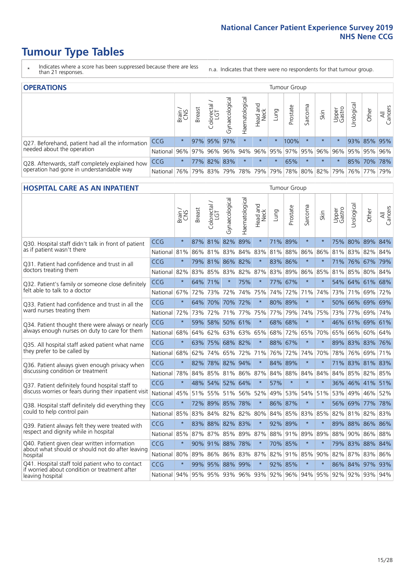- \* Indicates where a score has been suppressed because there are less than 21 responses.
- n.a. Indicates that there were no respondents for that tumour group.

| <b>OPERATIONS</b>                                |              |              |               |                   |                                     |                     |                  |         | Tumour Group                                            |         |         |                 |            |             |                |
|--------------------------------------------------|--------------|--------------|---------------|-------------------|-------------------------------------|---------------------|------------------|---------|---------------------------------------------------------|---------|---------|-----------------|------------|-------------|----------------|
|                                                  |              | Brain<br>CNS | <b>Breast</b> | Colorectal<br>LGT | $\overline{\sigma}$<br>Gynaecologic | Haematological      | Head and<br>Neck | Lung    | Prostate                                                | Sarcoma | Skin    | Upper<br>Gastro | Jrological | Other       | All<br>Cancers |
| Q27. Beforehand, patient had all the information | CCG          | $\star$      |               | 97% 95%           | 97%                                 | $\star$             | $\star$          | $\star$ | 100%                                                    |         | $\star$ | $\star$         |            | 93% 85% 95% |                |
| needed about the operation                       | National I   |              |               |                   |                                     |                     |                  |         | 96% 97% 96% 96% 94% 96% 95% 97% 95% 96% 96% 95% 95% 96% |         |         |                 |            |             |                |
| Q28. Afterwards, staff completely explained how  | <b>CCG</b>   | $\star$      |               |                   | 77% 82% 83%                         |                     | $\star$          | $\star$ | 65%                                                     |         | $\star$ | $\star$         |            | 85% 70% 78% |                |
| operation had gone in understandable way         | National 76% |              |               |                   |                                     | 79% 83% 79% 78% 79% |                  |         | 79% 78% 80% 82% 79%                                     |         |         |                 |            | 76% 77%     | 79%            |

#### **HOSPITAL CARE AS AN INPATIENT** Tumour Group

|                                                                                                   |              | Brain   | Breast  | Colorectal /<br>LGT | Gynaecological | Haematological | Head and<br>Neck | Lung    | Prostate | Sarcoma | Skin    | Upper<br>Gastro | Urological                                          | Other   | All<br>Cancers |
|---------------------------------------------------------------------------------------------------|--------------|---------|---------|---------------------|----------------|----------------|------------------|---------|----------|---------|---------|-----------------|-----------------------------------------------------|---------|----------------|
| Q30. Hospital staff didn't talk in front of patient                                               | CCG          | $\star$ |         | 87% 81% 82%         |                | 89%            | $\star$          |         | 71% 89%  | $\star$ | $\star$ |                 | 75% 80% 89% 84%                                     |         |                |
| as if patient wasn't there                                                                        | National     | 81%     | 86%     | 81%                 | 83%            | 84%            | 83%              | 81%     | 88%      | 86%     | 86%     |                 | 81% 83%                                             | 82%     | 84%            |
| 031. Patient had confidence and trust in all                                                      | CCG          | $\star$ |         | 79% 81% 86% 82%     |                |                | $\star$          |         | 83% 86%  | $\star$ | $\star$ |                 | 71% 76% 67% 79%                                     |         |                |
| doctors treating them                                                                             | National     | 82%     | 83% 85% |                     | 83%            | 82%            |                  | 87% 83% | 89%      | 86%     | 85%     |                 | 81% 85%                                             | 80% 84% |                |
| Q32. Patient's family or someone close definitely                                                 | CCG          | $\star$ |         | 64% 71%             |                | 75%            | $\star$          | 77%     | 67%      | $\star$ |         |                 | 54% 64% 61% 68%                                     |         |                |
| felt able to talk to a doctor                                                                     | National     | 67%     | 72%     | 73%                 | 72%            | 74%            | 75%              | 74%     | 72%      | 71%     | 74%     |                 | 73% 71%                                             | 69%     | 72%            |
| Q33. Patient had confidence and trust in all the<br>ward nurses treating them                     | CCG          | $\star$ |         | 64% 70% 70% 72%     |                |                | $\star$          | 80%     | 89%      | $\star$ | $\ast$  |                 | 50% 66% 69% 69%                                     |         |                |
|                                                                                                   | National     | 72%     | 73%     | 72%                 | 71%            | 77%            | 75%              | 77%     | 79%      | 74%     | 75%     |                 | 73% 77%                                             | 69%     | 74%            |
| Q34. Patient thought there were always or nearly<br>always enough nurses on duty to care for them | CCG          | $\star$ | 59%     | 58%                 | 50%            | 61%            | $\star$          | 68%     | 68%      | $\star$ | $\star$ | 46%             | 61% 69%                                             |         | 61%            |
|                                                                                                   | National     | 68%     | 64%     | 62%                 | 63%            | 63%            | 65%              | 68%     | 72%      | 65%     | 70%     | 65%             | 66%                                                 | 60%     | 64%            |
| Q35. All hospital staff asked patient what name                                                   | CCG          | $\star$ |         | 63% 75% 68% 82%     |                |                | $\star$          |         | 88% 67%  | $\star$ | $\star$ |                 | 89% 83% 83% 76%                                     |         |                |
| they prefer to be called by                                                                       | National     | 68%     | 62%     | 74% 65%             |                | 72%            | 71%              | 76%     | 72%      | 74%     | 70%     | 78%             | 76%                                                 | 69%     | 71%            |
| Q36. Patient always given enough privacy when                                                     | CCG          | $\star$ | 82%     |                     | 78% 82% 94%    |                | $\star$          |         | 84% 89%  | $\star$ | $\star$ |                 | 71% 83% 81% 83%                                     |         |                |
| discussing condition or treatment                                                                 | National     | 78%     | 84%     | 85% 81% 86%         |                |                | 87%              | 84%     | 88%      | 84%     | 84%     |                 | 84% 85%                                             | 82%     | 85%            |
| Q37. Patient definitely found hospital staff to                                                   | CCG          | $\star$ | 48%     | 54%                 |                | 52% 64%        | $\star$          | 57%     | $\star$  | $\star$ | $\star$ |                 | 36% 46% 41%                                         |         | 51%            |
| discuss worries or fears during their inpatient visit                                             | National     | 45%     |         | 51% 55% 51% 56%     |                |                | 52%              | 49%     | 53%      |         | 54% 51% |                 | 53% 49%                                             | 46% 52% |                |
| Q38. Hospital staff definitely did everything they                                                | CCG          | $\star$ |         | 72% 89% 85%         |                | 78%            | $\star$          |         | 86% 87%  | $\star$ | $\ast$  |                 | 56% 69%                                             | 77%     | 78%            |
| could to help control pain                                                                        | National     | 85%     | 83%     | 84%                 | 82%            | 82%            | 80%              | 84%     | 85%      | 83%     | 85%     | 82%             | 81%                                                 | 82%     | 83%            |
| Q39. Patient always felt they were treated with                                                   | CCG          | $\star$ | 83%     |                     | 88% 82% 83%    |                | $\star$          |         | 92% 89%  | $\star$ | $\star$ | 89%             | 88% 86% 86%                                         |         |                |
| respect and dignity while in hospital                                                             | National 85% |         |         | 87% 87%             |                |                | 85% 89% 87%      |         | 88% 91%  | 89%     | 89%     | 88%             | 90% 86% 88%                                         |         |                |
| Q40. Patient given clear written information<br>about what should or should not do after leaving  | CCG          | $\star$ |         | 90% 91% 88%         |                | 78%            | $\star$          |         | 70% 85%  | $\star$ | $\ast$  | 79%             | 83% 88% 84%                                         |         |                |
| hospital                                                                                          | National     | 80%     | 89%     | 86%                 | 86%            | 83%            | 87%              | 82%     | 91%      | 85%     | 90%     |                 | 82% 87%                                             | 83%     | 86%            |
| Q41. Hospital staff told patient who to contact<br>if worried about condition or treatment after  | CCG          | $\star$ | 99%     |                     | 95% 88% 99%    |                | $\star$          | 92%     | 85%      | $\star$ | $\star$ |                 | 86% 84% 97%                                         |         | 93%            |
| leaving hospital                                                                                  | National 94% |         |         |                     |                |                |                  |         |          |         |         |                 | 95% 95% 93% 96% 93% 92% 96% 94% 95% 92% 92% 93% 94% |         |                |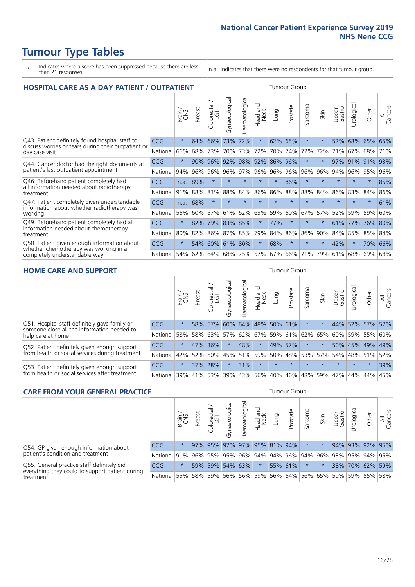- \* Indicates where a score has been suppressed because there are less than 21 responses.
- n.a. Indicates that there were no respondents for that tumour group.

| <b>HOSPITAL CARE AS A DAY PATIENT / OUTPATIENT</b>                                                                    |            |         |               |                 |                |                |                         | <b>Tumour Group</b> |          |              |         |                 |            |         |                |  |
|-----------------------------------------------------------------------------------------------------------------------|------------|---------|---------------|-----------------|----------------|----------------|-------------------------|---------------------|----------|--------------|---------|-----------------|------------|---------|----------------|--|
|                                                                                                                       |            | Brain   | <b>Breast</b> | ╮<br>Colorectal | Gynaecological | Haematological | aad and<br>Neck<br>Head | Lung                | Prostate | arcoma<br>ιñ | Skin    | Upper<br>Gastro | Urological | Other   | All<br>Cancers |  |
| Q43. Patient definitely found hospital staff to                                                                       | CCG        | $\star$ | 64%           | 66%             | 73%            | 72%            | $\star$                 | 62%                 | 65%      | $\star$      |         | 52%             | 68%        | 65%     | 65%            |  |
| discuss worries or fears during their outpatient or<br>day case visit                                                 | National   | 66%     | 68%           | 73%             | 70%            | 73%            | 72%                     | 70%                 | 74%      | 72%          | 72%     | 71%             | 67%        | 68%     | 71%            |  |
| Q44. Cancer doctor had the right documents at<br>patient's last outpatient appointment                                | CCG        | $\star$ | 90%           | 96%             | 92%            | 98%            |                         | 92% 86%             | 96%      | $\star$      |         | 97%             | 91%        | 91%     | 93%            |  |
|                                                                                                                       | National   | 94%     | 96%           | 96%             | 96%            | 97%            |                         | 96% 96%             | 96%      | 96%          | 96%     | 94%             | 96%        | 95%     | 96%            |  |
| Q46. Beforehand patient completely had                                                                                | <b>CCG</b> | n.a.    | 89%           | $\star$         | $\star$        | $\star$        | $\star$                 | $\star$             | 86%      | $\star$      | $\star$ | $\star$         | $\star$    | $\ast$  | 85%            |  |
| all information needed about radiotherapy<br>treatment                                                                | National   | 91%     | 88%           | 83%             | 88%            | 84%            | 86%                     | 86%                 | 88%      | 88%          | 84%     | 86%             | 83%        | 84%     | 86%            |  |
| Q47. Patient completely given understandable                                                                          | <b>CCG</b> | n.a.    | 68%           | $\star$         |                |                | $\star$                 | $\star$             | $\star$  | $\star$      |         |                 |            | $\star$ | 61%            |  |
| information about whether radiotherapy was<br>working                                                                 | National   | 56%     | 60%           | 57%             | 61%            | 62%            | 63%                     | 59%                 | 60%      | 67%          | 57%     | 52%             | 59%        | 59%     | 60%            |  |
| Q49. Beforehand patient completely had all                                                                            | <b>CCG</b> | $\star$ | 82%           | 79%             | 83%            | 85%            | $\star$                 | 77%                 | $\star$  | $\star$      |         | 61%             | 77%        | 76% 80% |                |  |
| information needed about chemotherapy<br>treatment                                                                    | National   | 80%     | 82%           | 86%             | 87%            | 85%            | 79%                     | 84%                 | 86%      | 86%          | 90%     | 84%             | 85%        | 85%     | 84%            |  |
| Q50. Patient given enough information about<br>whether chemotherapy was working in a<br>completely understandable way | <b>CCG</b> | $\star$ | 54%           | 60%             | 61%            | 80%            | $\star$                 | 68%                 | $\star$  | $\star$      | $\star$ | 42%             | $\star$    | 70%     | 66%            |  |
|                                                                                                                       | National   | 54%     | 62%           | 64%             | 68%            | 75%            |                         | 57% 67%             | 66%      | 71%          | 79%     | 61%             | 68%        | 69%     | 68%            |  |

#### **HOME CARE AND SUPPORT** Tumour Group

|                                                                                                                   |            | Brain   | Breast | Colorectal<br>LGT | $\sigma$<br>Gynaecologic | Haematological | Head and<br>Neck | <b>Lung</b> | Prostate | Sarcoma     | Skin        | Upper<br>Gastro | Irological      | Other   | All<br>Cancers |
|-------------------------------------------------------------------------------------------------------------------|------------|---------|--------|-------------------|--------------------------|----------------|------------------|-------------|----------|-------------|-------------|-----------------|-----------------|---------|----------------|
| Q51. Hospital staff definitely gave family or<br>someone close all the information needed to<br>help care at home | <b>CCG</b> | $\star$ |        | 58% 57%           | 60%                      |                | 64% 48% 50% 61%  |             |          | $\ast$      |             |                 | 44% 52% 57%     |         | 57%            |
|                                                                                                                   | National   | 58%     |        | 58% 63%           | 57%                      |                | 62% 67% 59%      |             |          | 61% 62% 65% |             | 60%             | 59% 55% 60%     |         |                |
| Q52. Patient definitely given enough support<br>from health or social services during treatment                   | <b>CCG</b> | $\star$ |        | 47% 36%           | $\star$                  | 48%            | $\star$          | 49%         | 57%      |             |             |                 | 50% 45% 49% 49% |         |                |
|                                                                                                                   | National   | 42%     | 52%    | 60%               |                          |                | 45% 51% 59% 50%  |             |          |             | 48% 53% 57% |                 | 54% 48% 51%     |         | 52%            |
| Q53. Patient definitely given enough support<br>from health or social services after treatment                    | <b>CCG</b> | $\star$ |        | 37% 28%           | $\star$                  | 31%            | $\star$          | $\star$     | $\star$  | $\star$     | $\star$     | $\star$         | $\star$         | $\star$ | 39%            |
|                                                                                                                   | National   | 39%     |        | 41% 53%           | 39%                      |                | 43% 56% 40%      |             | 46%      | 48%         | 59%         | 47%             | 44%             | 44%     | 45%            |

| <b>CARE FROM YOUR GENERAL PRACTICE</b>                                                                     |              |         |               |                   |               | <b>Tumour Group</b> |                             |      |          |         |                                                                 |                 |                       |                 |                |
|------------------------------------------------------------------------------------------------------------|--------------|---------|---------------|-------------------|---------------|---------------------|-----------------------------|------|----------|---------|-----------------------------------------------------------------|-----------------|-----------------------|-----------------|----------------|
|                                                                                                            |              | Brain,  | <b>Breast</b> | Colorectal<br>LGT | Gynaecologica | Haematological      | Head and<br>Neck            | Lung | Prostate | Sarcoma | Skin                                                            | Upper<br>Gastro | $\sigma$<br>Urologica | Other           | All<br>Cancers |
| Q54. GP given enough information about<br>patient's condition and treatment                                | CCG          | $\star$ |               |                   |               |                     | 97% 95% 97% 97% 95% 81% 94% |      |          | $\star$ |                                                                 |                 |                       | 94% 93% 92% 95% |                |
|                                                                                                            | National 91% |         |               |                   |               |                     |                             |      |          |         | 96% 95% 95% 96% 94% 94% 96% 94% 96% 93% 93% 95% 94% 95%         |                 |                       |                 |                |
| Q55. General practice staff definitely did<br>everything they could to support patient during<br>treatment | <b>CCG</b>   | $\star$ |               | 59% 59%           |               | 54% 63%             | $\star$                     |      | 55% 61%  |         |                                                                 |                 |                       | 38% 70% 62% 59% |                |
|                                                                                                            | National 55% |         |               | 58% 59%           |               |                     |                             |      |          |         | 56%   56%   59%   56%   64%   56%   65%   59%   59%   55%   58% |                 |                       |                 |                |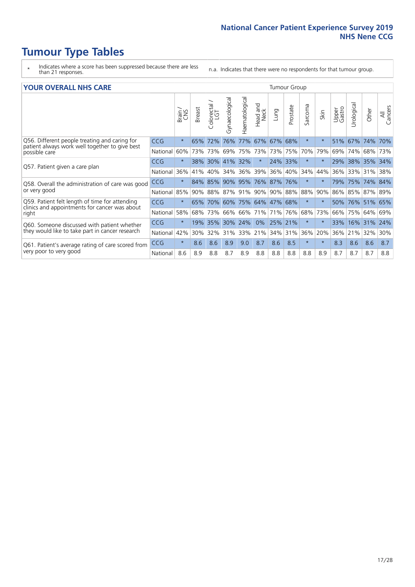- \* Indicates where a score has been suppressed because there are less than 21 responses.
- n.a. Indicates that there were no respondents for that tumour group.

#### **YOUR OVERALL NHS CARE** THE CONSTRUCTION OF THE THROUP GROUP TUMOUR GROUP

|                                                                                                                  |            | Brain<br>CNS | <b>Breast</b> | olorectal<br>LGT<br>Û | Gynaecological | Haematological | aad and<br>Neck<br>Head | Lung    | Prostate | arcoma<br>$\sqrt{ }$ | Skin    | Upper<br>Gastro | ন্ত<br>Urologia | Other       | All<br>Cancers |
|------------------------------------------------------------------------------------------------------------------|------------|--------------|---------------|-----------------------|----------------|----------------|-------------------------|---------|----------|----------------------|---------|-----------------|-----------------|-------------|----------------|
| Q56. Different people treating and caring for<br>patient always work well together to give best<br>possible care | <b>CCG</b> | $\star$      | 65%           | 72%                   | 76%            | 77%            | 67%                     | 67%     | 68%      | $\star$              | $\ast$  | 51%             | 67%             | 74%         | 70%            |
|                                                                                                                  | National   | 60%          |               | 73% 73%               | 69%            | 75%            | 73%                     | 73% 75% |          | 70%                  | 79%     | 69%             | 74%             | 68%         | 73%            |
| Q57. Patient given a care plan                                                                                   | <b>CCG</b> | $\star$      | $38\%$        | 30%                   | 41% 32%        |                | $\star$                 | 24% 33% |          | $\star$              | $\star$ | 29% 38%         |                 | 35% 34%     |                |
|                                                                                                                  | National   | 36%          | 41%           | 40%                   | 34%            | 36%            | 39%                     | 36%     | 40%      | 34%                  | 44%     | 36%             | 33%             | 31%         | 38%            |
| Q58. Overall the administration of care was good                                                                 | <b>CCG</b> | $\star$      | 84%           | 85%                   | 90% 95%        |                | 76% 87% 76%             |         |          | $\ast$               | $\star$ | 79%             | 75%             | 74% 84%     |                |
| or very good                                                                                                     | National   | 85%          |               | 90% 88%               |                | 87% 91%        | $ 90\% $                |         | 90% 88%  | 88%                  | 90%     | 86%             | 85%             | 87% 89%     |                |
| Q59. Patient felt length of time for attending<br>clinics and appointments for cancer was about                  | <b>CCG</b> | $\star$      | 65%           |                       |                |                | 70% 60% 75% 64% 47% 68% |         |          | $\star$              | $\star$ | 50%             |                 | 76% 51% 65% |                |
| right                                                                                                            | National   | 58%          | 68%           | 73%                   | 66%            | 66%            | 71%                     | 71%     | 76%      | 68%                  | 73%     | 66%             | 75%             | 64%         | 69%            |
| Q60. Someone discussed with patient whether                                                                      | <b>CCG</b> | $\star$      | 19%           | 35%                   | 30%            | 24%            | 0%                      | 25% 21% |          | $\star$              | $\ast$  | 33%             | 16%             | $ 31\%$     | 24%            |
| they would like to take part in cancer research                                                                  | National   | 42%          | 30%           | 32%                   | 31%            | 33%            | 21%                     | 34%     | 31%      | 36%                  | 20%     | 36%             | 21%             | 32%         | 30%            |
| Q61. Patient's average rating of care scored from<br>very poor to very good                                      | CCG        | $\star$      | 8.6           | 8.6                   | 8.9            | 9.0            | 8.7                     | 8.6     | 8.5      | $\star$              | $\star$ | 8.3             | 8.6             | 8.6         | 8.7            |
|                                                                                                                  | National   | 8.6          | 8.9           | 8.8                   | 8.7            | 8.9            | 8.8                     | 8.8     | 8.8      | 8.8                  | 8.9     | 8.7             | 8.7             | 8.7         | 8.8            |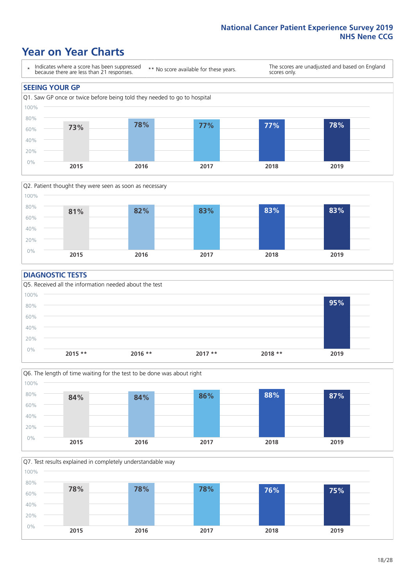### **Year on Year Charts**





#### **DIAGNOSTIC TESTS**





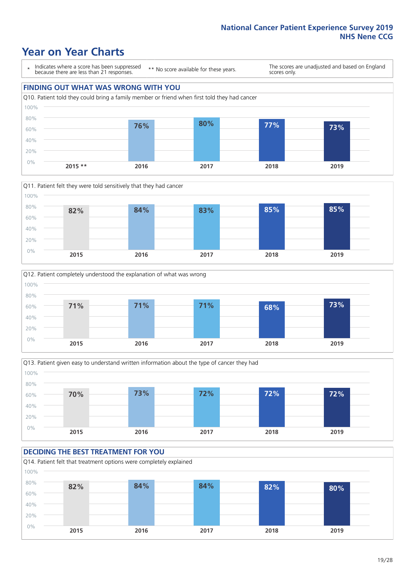## **Year on Year Charts**

\* Indicates where a score has been suppressed because there are less than 21 responses.

\*\* No score available for these years.

The scores are unadjusted and based on England scores only.









#### **DECIDING THE BEST TREATMENT FOR YOU** Q14. Patient felt that treatment options were completely explained 0% 20% 40% 60% 80% 100% **2015 2016 2017 2018 2019 82% 84% 84% 82% 80%**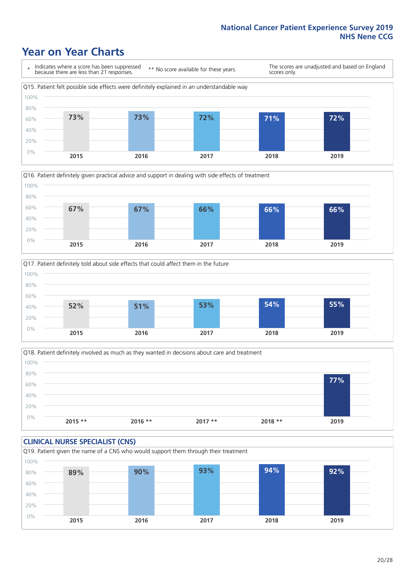### **Year on Year Charts**







Q18. Patient definitely involved as much as they wanted in decisions about care and treatment  $0%$ 20% 40% 60% 80% 100% **2015 \*\* 2016 \*\* 2017 \*\* 2018 \*\* 2019 77%**

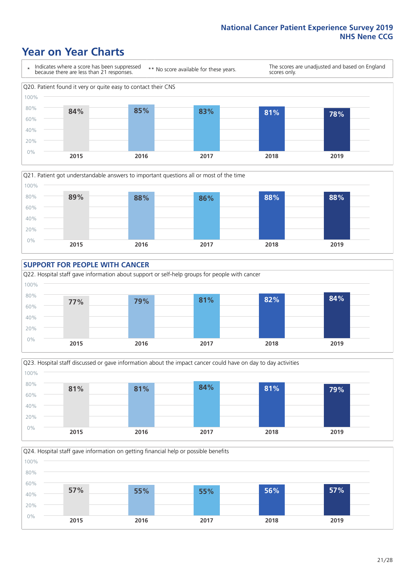### **Year on Year Charts**









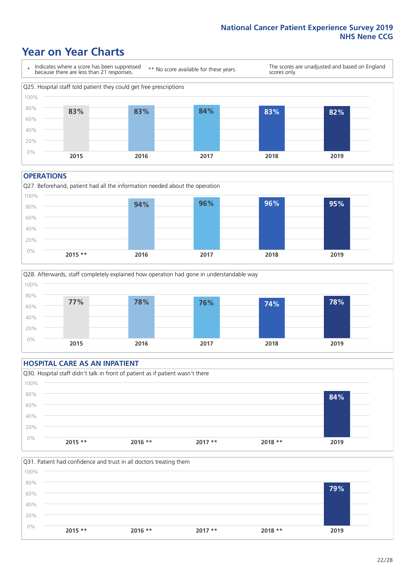### **Year on Year Charts**



#### **OPERATIONS**





#### **HOSPITAL CARE AS AN INPATIENT** Q30. Hospital staff didn't talk in front of patient as if patient wasn't there 0% 20% 40% 60% 80% 100% **2015 \*\* 2016 \*\* 2017 \*\* 2018 \*\* 2019 84%**

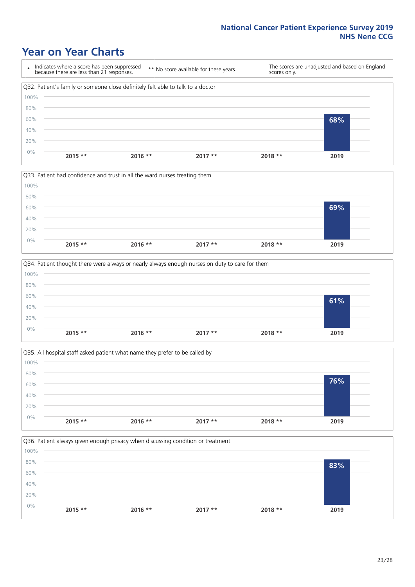### **Year on Year Charts**









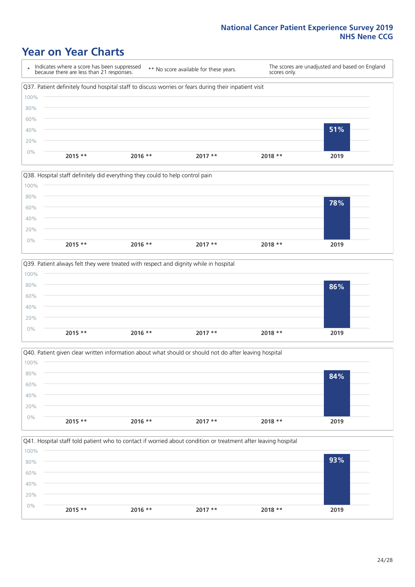### **Year on Year Charts**









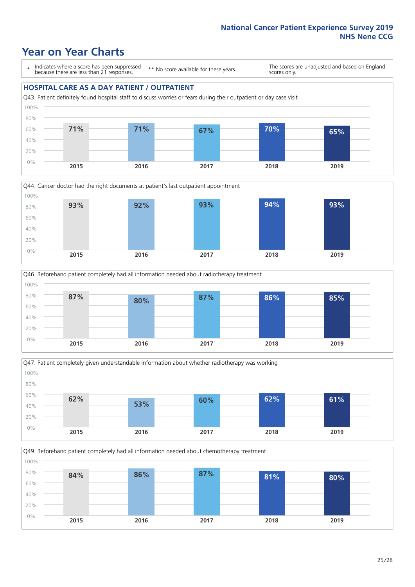### **Year on Year Charts**

\* Indicates where a score has been suppressed because there are less than 21 responses.

\*\* No score available for these years.

The scores are unadjusted and based on England scores only.

#### **HOSPITAL CARE AS A DAY PATIENT / OUTPATIENT**









Q49. Beforehand patient completely had all information needed about chemotherapy treatment 100%

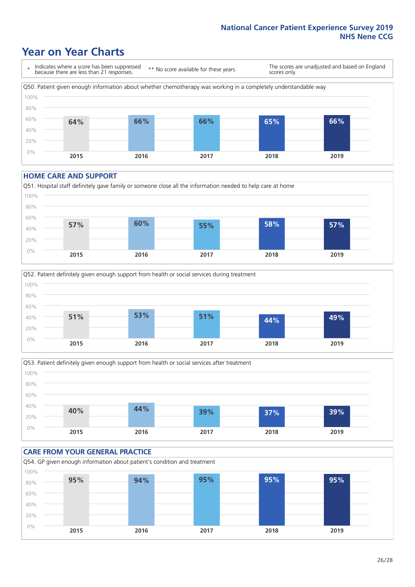### **Year on Year Charts**

\* Indicates where a score has been suppressed because there are less than 21 responses. \*\* No score available for these years. The scores are unadjusted and based on England scores only. Q50. Patient given enough information about whether chemotherapy was working in a completely understandable way 0% 20% 40% 60% 80% 100% **2015 2016 2017 2018 2019 64% 66% 66% 65% 66%**

#### **HOME CARE AND SUPPORT**







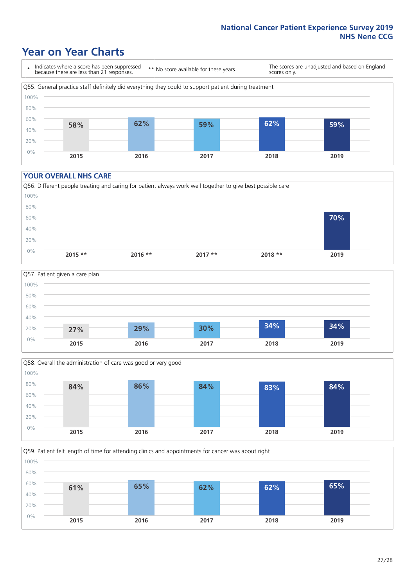### **Year on Year Charts**

\* Indicates where a score has been suppressed because there are less than 21 responses.

\*\* No score available for these years.

The scores are unadjusted and based on England scores only.



#### **YOUR OVERALL NHS CARE**







Q59. Patient felt length of time for attending clinics and appointments for cancer was about right 100%